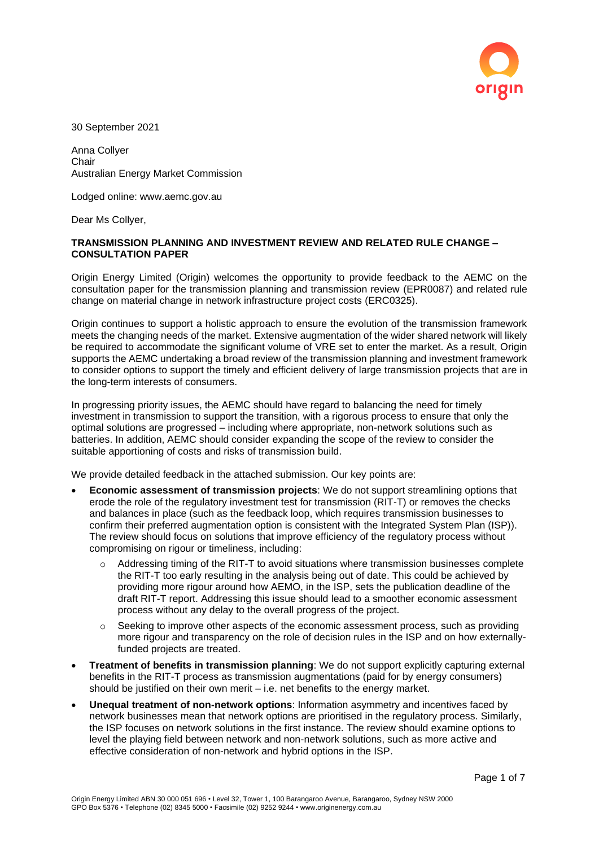

30 September 2021

Anna Collyer **Chair** Australian Energy Market Commission

Lodged online: www.aemc.gov.au

Dear Ms Collyer,

## **TRANSMISSION PLANNING AND INVESTMENT REVIEW AND RELATED RULE CHANGE – CONSULTATION PAPER**

Origin Energy Limited (Origin) welcomes the opportunity to provide feedback to the AEMC on the consultation paper for the transmission planning and transmission review (EPR0087) and related rule change on material change in network infrastructure project costs (ERC0325).

Origin continues to support a holistic approach to ensure the evolution of the transmission framework meets the changing needs of the market. Extensive augmentation of the wider shared network will likely be required to accommodate the significant volume of VRE set to enter the market. As a result, Origin supports the AEMC undertaking a broad review of the transmission planning and investment framework to consider options to support the timely and efficient delivery of large transmission projects that are in the long-term interests of consumers.

In progressing priority issues, the AEMC should have regard to balancing the need for timely investment in transmission to support the transition, with a rigorous process to ensure that only the optimal solutions are progressed – including where appropriate, non-network solutions such as batteries. In addition, AEMC should consider expanding the scope of the review to consider the suitable apportioning of costs and risks of transmission build.

We provide detailed feedback in the attached submission. Our key points are:

- **Economic assessment of transmission projects**: We do not support streamlining options that erode the role of the regulatory investment test for transmission (RIT-T) or removes the checks and balances in place (such as the feedback loop, which requires transmission businesses to confirm their preferred augmentation option is consistent with the Integrated System Plan (ISP)). The review should focus on solutions that improve efficiency of the regulatory process without compromising on rigour or timeliness, including:
	- o Addressing timing of the RIT-T to avoid situations where transmission businesses complete the RIT-T too early resulting in the analysis being out of date. This could be achieved by providing more rigour around how AEMO, in the ISP, sets the publication deadline of the draft RIT-T report. Addressing this issue should lead to a smoother economic assessment process without any delay to the overall progress of the project.
	- $\circ$  Seeking to improve other aspects of the economic assessment process, such as providing more rigour and transparency on the role of decision rules in the ISP and on how externallyfunded projects are treated.
- **Treatment of benefits in transmission planning**: We do not support explicitly capturing external benefits in the RIT-T process as transmission augmentations (paid for by energy consumers) should be justified on their own merit – i.e. net benefits to the energy market.
- **Unequal treatment of non-network options**: Information asymmetry and incentives faced by network businesses mean that network options are prioritised in the regulatory process. Similarly, the ISP focuses on network solutions in the first instance. The review should examine options to level the playing field between network and non-network solutions, such as more active and effective consideration of non-network and hybrid options in the ISP.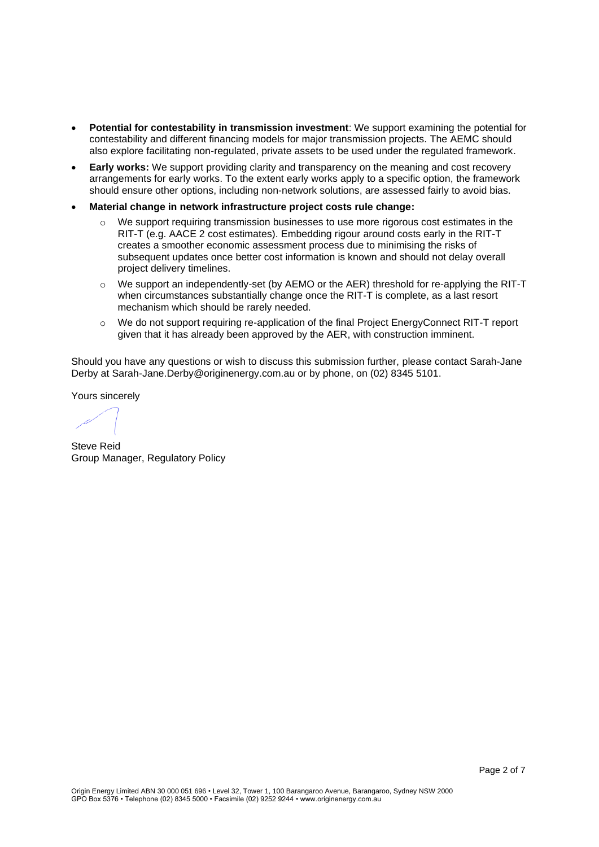- **Potential for contestability in transmission investment**: We support examining the potential for contestability and different financing models for major transmission projects. The AEMC should also explore facilitating non-regulated, private assets to be used under the regulated framework.
- **Early works:** We support providing clarity and transparency on the meaning and cost recovery arrangements for early works. To the extent early works apply to a specific option, the framework should ensure other options, including non-network solutions, are assessed fairly to avoid bias.
- **Material change in network infrastructure project costs rule change:** 
	- $\circ$  We support requiring transmission businesses to use more rigorous cost estimates in the RIT-T (e.g. AACE 2 cost estimates). Embedding rigour around costs early in the RIT-T creates a smoother economic assessment process due to minimising the risks of subsequent updates once better cost information is known and should not delay overall project delivery timelines.
	- $\circ$  We support an independently-set (by AEMO or the AER) threshold for re-applying the RIT-T when circumstances substantially change once the RIT-T is complete, as a last resort mechanism which should be rarely needed.
	- o We do not support requiring re-application of the final Project EnergyConnect RIT-T report given that it has already been approved by the AER, with construction imminent.

Should you have any questions or wish to discuss this submission further, please contact Sarah-Jane Derby at Sarah-Jane.Derby@originenergy.com.au or by phone, on (02) 8345 5101.

Yours sincerely

Steve Reid Group Manager, Regulatory Policy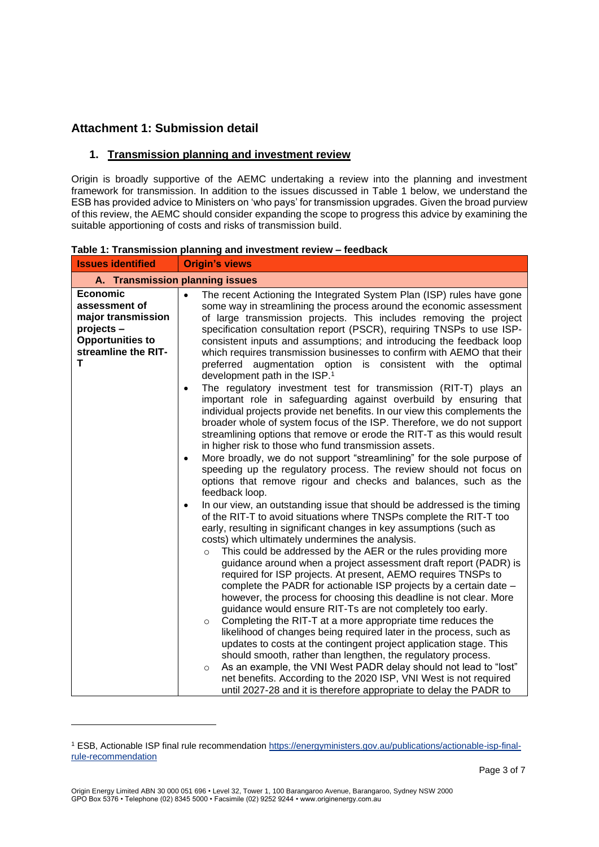## **Attachment 1: Submission detail**

## **1. Transmission planning and investment review**

Origin is broadly supportive of the AEMC undertaking a review into the planning and investment framework for transmission. In addition to the issues discussed in Table 1 below, we understand the ESB has provided advice to Ministers on 'who pays' for transmission upgrades. Given the broad purview of this review, the AEMC should consider expanding the scope to progress this advice by examining the suitable apportioning of costs and risks of transmission build.

| <b>Issues identified</b>                                                                                                    | <b>Origin's views</b>                                                                                                                                                                                                                                                                                                                                                                                                                                                                                                                                                                                                                                                                                                                                                                                                                                                                                                                                                                                                                                                                                                                                                                                                                                                                                                                                                                                                                                                                                                                                                                                                                                                                                                                                                                                                                                                                                                                                                                                                                                                                                                                                                                                                                                                                                                                                                                                                                                                                                    |  |  |  |
|-----------------------------------------------------------------------------------------------------------------------------|----------------------------------------------------------------------------------------------------------------------------------------------------------------------------------------------------------------------------------------------------------------------------------------------------------------------------------------------------------------------------------------------------------------------------------------------------------------------------------------------------------------------------------------------------------------------------------------------------------------------------------------------------------------------------------------------------------------------------------------------------------------------------------------------------------------------------------------------------------------------------------------------------------------------------------------------------------------------------------------------------------------------------------------------------------------------------------------------------------------------------------------------------------------------------------------------------------------------------------------------------------------------------------------------------------------------------------------------------------------------------------------------------------------------------------------------------------------------------------------------------------------------------------------------------------------------------------------------------------------------------------------------------------------------------------------------------------------------------------------------------------------------------------------------------------------------------------------------------------------------------------------------------------------------------------------------------------------------------------------------------------------------------------------------------------------------------------------------------------------------------------------------------------------------------------------------------------------------------------------------------------------------------------------------------------------------------------------------------------------------------------------------------------------------------------------------------------------------------------------------------------|--|--|--|
| A. Transmission planning issues                                                                                             |                                                                                                                                                                                                                                                                                                                                                                                                                                                                                                                                                                                                                                                                                                                                                                                                                                                                                                                                                                                                                                                                                                                                                                                                                                                                                                                                                                                                                                                                                                                                                                                                                                                                                                                                                                                                                                                                                                                                                                                                                                                                                                                                                                                                                                                                                                                                                                                                                                                                                                          |  |  |  |
| <b>Economic</b><br>assessment of<br>major transmission<br>projects -<br><b>Opportunities to</b><br>streamline the RIT-<br>т | The recent Actioning the Integrated System Plan (ISP) rules have gone<br>$\bullet$<br>some way in streamlining the process around the economic assessment<br>of large transmission projects. This includes removing the project<br>specification consultation report (PSCR), requiring TNSPs to use ISP-<br>consistent inputs and assumptions; and introducing the feedback loop<br>which requires transmission businesses to confirm with AEMO that their<br>preferred augmentation option is consistent with the<br>optimal<br>development path in the ISP. <sup>1</sup><br>The regulatory investment test for transmission (RIT-T) plays an<br>$\bullet$<br>important role in safeguarding against overbuild by ensuring that<br>individual projects provide net benefits. In our view this complements the<br>broader whole of system focus of the ISP. Therefore, we do not support<br>streamlining options that remove or erode the RIT-T as this would result<br>in higher risk to those who fund transmission assets.<br>More broadly, we do not support "streamlining" for the sole purpose of<br>speeding up the regulatory process. The review should not focus on<br>options that remove rigour and checks and balances, such as the<br>feedback loop.<br>In our view, an outstanding issue that should be addressed is the timing<br>$\bullet$<br>of the RIT-T to avoid situations where TNSPs complete the RIT-T too<br>early, resulting in significant changes in key assumptions (such as<br>costs) which ultimately undermines the analysis.<br>This could be addressed by the AER or the rules providing more<br>$\circ$<br>guidance around when a project assessment draft report (PADR) is<br>required for ISP projects. At present, AEMO requires TNSPs to<br>complete the PADR for actionable ISP projects by a certain date -<br>however, the process for choosing this deadline is not clear. More<br>guidance would ensure RIT-Ts are not completely too early.<br>Completing the RIT-T at a more appropriate time reduces the<br>$\circ$<br>likelihood of changes being required later in the process, such as<br>updates to costs at the contingent project application stage. This<br>should smooth, rather than lengthen, the regulatory process.<br>As an example, the VNI West PADR delay should not lead to "lost"<br>$\circ$<br>net benefits. According to the 2020 ISP, VNI West is not required<br>until 2027-28 and it is therefore appropriate to delay the PADR to |  |  |  |

**Table 1: Transmission planning and investment review – feedback** 

<sup>1</sup> ESB, Actionable ISP final rule recommendation [https://energyministers.gov.au/publications/actionable-isp-final](https://energyministers.gov.au/publications/actionable-isp-final-rule-recommendation)[rule-recommendation](https://energyministers.gov.au/publications/actionable-isp-final-rule-recommendation)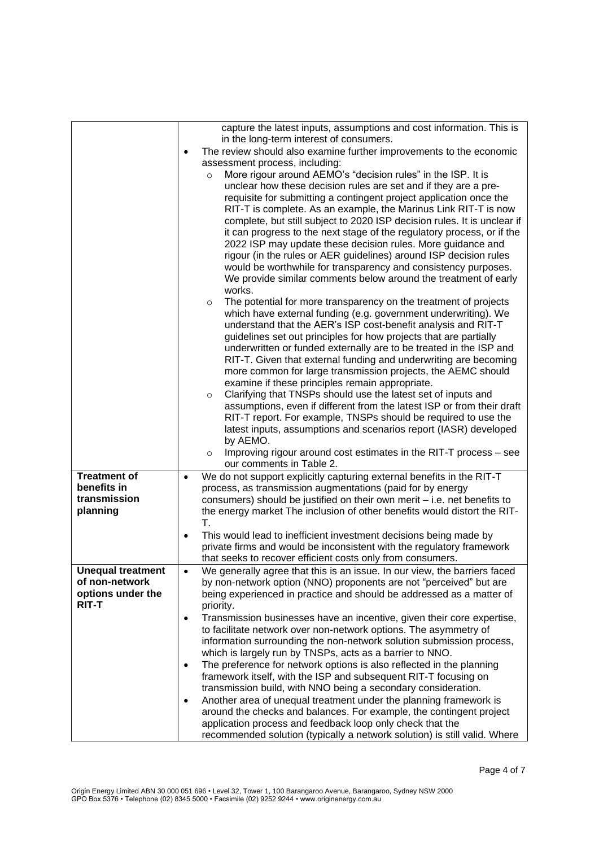|                                                                                 | capture the latest inputs, assumptions and cost information. This is<br>in the long-term interest of consumers.<br>The review should also examine further improvements to the economic<br>assessment process, including:<br>More rigour around AEMO's "decision rules" in the ISP. It is<br>$\circ$<br>unclear how these decision rules are set and if they are a pre-<br>requisite for submitting a contingent project application once the<br>RIT-T is complete. As an example, the Marinus Link RIT-T is now<br>complete, but still subject to 2020 ISP decision rules. It is unclear if<br>it can progress to the next stage of the regulatory process, or if the<br>2022 ISP may update these decision rules. More guidance and<br>rigour (in the rules or AER guidelines) around ISP decision rules<br>would be worthwhile for transparency and consistency purposes.<br>We provide similar comments below around the treatment of early<br>works.<br>The potential for more transparency on the treatment of projects<br>$\circ$<br>which have external funding (e.g. government underwriting). We<br>understand that the AER's ISP cost-benefit analysis and RIT-T<br>guidelines set out principles for how projects that are partially<br>underwritten or funded externally are to be treated in the ISP and<br>RIT-T. Given that external funding and underwriting are becoming<br>more common for large transmission projects, the AEMC should<br>examine if these principles remain appropriate.<br>Clarifying that TNSPs should use the latest set of inputs and<br>$\circ$<br>assumptions, even if different from the latest ISP or from their draft<br>RIT-T report. For example, TNSPs should be required to use the<br>latest inputs, assumptions and scenarios report (IASR) developed<br>by AEMO.<br>Improving rigour around cost estimates in the RIT-T process - see<br>$\circ$<br>our comments in Table 2. |
|---------------------------------------------------------------------------------|----------------------------------------------------------------------------------------------------------------------------------------------------------------------------------------------------------------------------------------------------------------------------------------------------------------------------------------------------------------------------------------------------------------------------------------------------------------------------------------------------------------------------------------------------------------------------------------------------------------------------------------------------------------------------------------------------------------------------------------------------------------------------------------------------------------------------------------------------------------------------------------------------------------------------------------------------------------------------------------------------------------------------------------------------------------------------------------------------------------------------------------------------------------------------------------------------------------------------------------------------------------------------------------------------------------------------------------------------------------------------------------------------------------------------------------------------------------------------------------------------------------------------------------------------------------------------------------------------------------------------------------------------------------------------------------------------------------------------------------------------------------------------------------------------------------------------------------------------------------------------------------------------------------------------------|
| <b>Treatment of</b><br>benefits in<br>transmission<br>planning                  | We do not support explicitly capturing external benefits in the RIT-T<br>$\bullet$<br>process, as transmission augmentations (paid for by energy<br>consumers) should be justified on their own merit - i.e. net benefits to<br>the energy market The inclusion of other benefits would distort the RIT-                                                                                                                                                                                                                                                                                                                                                                                                                                                                                                                                                                                                                                                                                                                                                                                                                                                                                                                                                                                                                                                                                                                                                                                                                                                                                                                                                                                                                                                                                                                                                                                                                         |
|                                                                                 | Τ.<br>This would lead to inefficient investment decisions being made by<br>$\bullet$<br>private firms and would be inconsistent with the regulatory framework<br>that seeks to recover efficient costs only from consumers.                                                                                                                                                                                                                                                                                                                                                                                                                                                                                                                                                                                                                                                                                                                                                                                                                                                                                                                                                                                                                                                                                                                                                                                                                                                                                                                                                                                                                                                                                                                                                                                                                                                                                                      |
| <b>Unequal treatment</b><br>of non-network<br>options under the<br><b>RIT-T</b> | We generally agree that this is an issue. In our view, the barriers faced<br>by non-network option (NNO) proponents are not "perceived" but are<br>being experienced in practice and should be addressed as a matter of<br>priority.<br>Transmission businesses have an incentive, given their core expertise,<br>$\bullet$<br>to facilitate network over non-network options. The asymmetry of<br>information surrounding the non-network solution submission process,<br>which is largely run by TNSPs, acts as a barrier to NNO.<br>The preference for network options is also reflected in the planning<br>$\bullet$<br>framework itself, with the ISP and subsequent RIT-T focusing on<br>transmission build, with NNO being a secondary consideration.<br>Another area of unequal treatment under the planning framework is<br>around the checks and balances. For example, the contingent project<br>application process and feedback loop only check that the<br>recommended solution (typically a network solution) is still valid. Where                                                                                                                                                                                                                                                                                                                                                                                                                                                                                                                                                                                                                                                                                                                                                                                                                                                                               |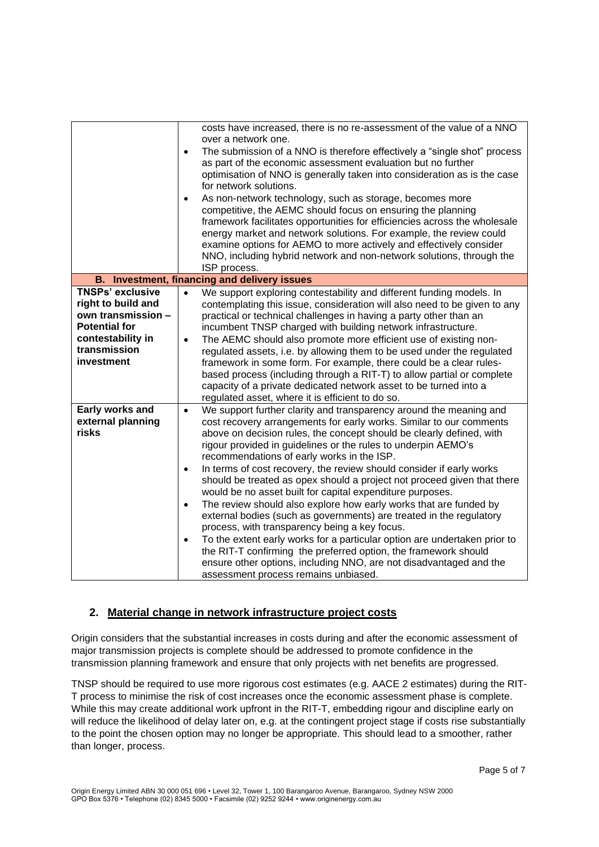|                                                                                                                                                | costs have increased, there is no re-assessment of the value of a NNO<br>over a network one.<br>The submission of a NNO is therefore effectively a "single shot" process<br>$\bullet$<br>as part of the economic assessment evaluation but no further<br>optimisation of NNO is generally taken into consideration as is the case<br>for network solutions.<br>As non-network technology, such as storage, becomes more<br>competitive, the AEMC should focus on ensuring the planning<br>framework facilitates opportunities for efficiencies across the wholesale<br>energy market and network solutions. For example, the review could<br>examine options for AEMO to more actively and effectively consider<br>NNO, including hybrid network and non-network solutions, through the<br>ISP process.                                                                                                                                                                                                                                                         |  |  |  |  |
|------------------------------------------------------------------------------------------------------------------------------------------------|-----------------------------------------------------------------------------------------------------------------------------------------------------------------------------------------------------------------------------------------------------------------------------------------------------------------------------------------------------------------------------------------------------------------------------------------------------------------------------------------------------------------------------------------------------------------------------------------------------------------------------------------------------------------------------------------------------------------------------------------------------------------------------------------------------------------------------------------------------------------------------------------------------------------------------------------------------------------------------------------------------------------------------------------------------------------|--|--|--|--|
|                                                                                                                                                | B. Investment, financing and delivery issues                                                                                                                                                                                                                                                                                                                                                                                                                                                                                                                                                                                                                                                                                                                                                                                                                                                                                                                                                                                                                    |  |  |  |  |
| <b>TNSPs' exclusive</b><br>right to build and<br>own transmission -<br><b>Potential for</b><br>contestability in<br>transmission<br>investment | We support exploring contestability and different funding models. In<br>$\bullet$<br>contemplating this issue, consideration will also need to be given to any<br>practical or technical challenges in having a party other than an<br>incumbent TNSP charged with building network infrastructure.<br>The AEMC should also promote more efficient use of existing non-<br>$\bullet$<br>regulated assets, i.e. by allowing them to be used under the regulated<br>framework in some form. For example, there could be a clear rules-<br>based process (including through a RIT-T) to allow partial or complete<br>capacity of a private dedicated network asset to be turned into a<br>regulated asset, where it is efficient to do so.                                                                                                                                                                                                                                                                                                                         |  |  |  |  |
| Early works and<br>external planning<br>risks                                                                                                  | We support further clarity and transparency around the meaning and<br>$\bullet$<br>cost recovery arrangements for early works. Similar to our comments<br>above on decision rules, the concept should be clearly defined, with<br>rigour provided in guidelines or the rules to underpin AEMO's<br>recommendations of early works in the ISP.<br>In terms of cost recovery, the review should consider if early works<br>$\bullet$<br>should be treated as opex should a project not proceed given that there<br>would be no asset built for capital expenditure purposes.<br>The review should also explore how early works that are funded by<br>$\bullet$<br>external bodies (such as governments) are treated in the regulatory<br>process, with transparency being a key focus.<br>To the extent early works for a particular option are undertaken prior to<br>$\bullet$<br>the RIT-T confirming the preferred option, the framework should<br>ensure other options, including NNO, are not disadvantaged and the<br>assessment process remains unbiased. |  |  |  |  |

## **2. Material change in network infrastructure project costs**

Origin considers that the substantial increases in costs during and after the economic assessment of major transmission projects is complete should be addressed to promote confidence in the transmission planning framework and ensure that only projects with net benefits are progressed.

TNSP should be required to use more rigorous cost estimates (e.g. AACE 2 estimates) during the RIT-T process to minimise the risk of cost increases once the economic assessment phase is complete. While this may create additional work upfront in the RIT-T, embedding rigour and discipline early on will reduce the likelihood of delay later on, e.g. at the contingent project stage if costs rise substantially to the point the chosen option may no longer be appropriate. This should lead to a smoother, rather than longer, process.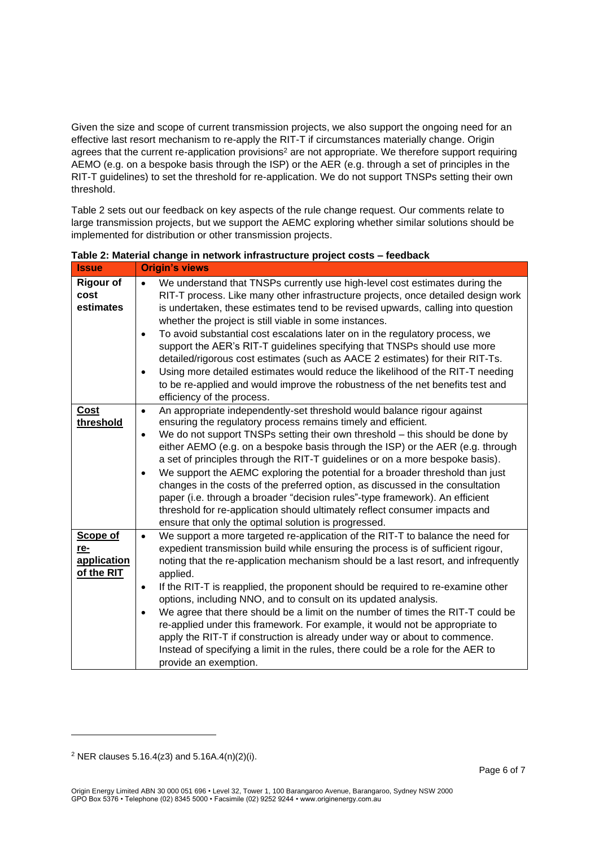Given the size and scope of current transmission projects, we also support the ongoing need for an effective last resort mechanism to re-apply the RIT-T if circumstances materially change. Origin agrees that the current re-application provisions<sup>2</sup> are not appropriate. We therefore support requiring AEMO (e.g. on a bespoke basis through the ISP) or the AER (e.g. through a set of principles in the RIT-T guidelines) to set the threshold for re-application. We do not support TNSPs setting their own threshold.

Table 2 sets out our feedback on key aspects of the rule change request. Our comments relate to large transmission projects, but we support the AEMC exploring whether similar solutions should be implemented for distribution or other transmission projects.

| <b>Issue</b>                                 | <b>Origin's views</b>                                                                                                                                                                                                                                                                                                                                                                                                                                                                                                                                                                                                                                                                                                                                                                                                           |
|----------------------------------------------|---------------------------------------------------------------------------------------------------------------------------------------------------------------------------------------------------------------------------------------------------------------------------------------------------------------------------------------------------------------------------------------------------------------------------------------------------------------------------------------------------------------------------------------------------------------------------------------------------------------------------------------------------------------------------------------------------------------------------------------------------------------------------------------------------------------------------------|
| <b>Rigour of</b><br>cost<br>estimates        | We understand that TNSPs currently use high-level cost estimates during the<br>RIT-T process. Like many other infrastructure projects, once detailed design work<br>is undertaken, these estimates tend to be revised upwards, calling into question<br>whether the project is still viable in some instances.<br>To avoid substantial cost escalations later on in the regulatory process, we<br>$\bullet$<br>support the AER's RIT-T guidelines specifying that TNSPs should use more<br>detailed/rigorous cost estimates (such as AACE 2 estimates) for their RIT-Ts.<br>Using more detailed estimates would reduce the likelihood of the RIT-T needing<br>$\bullet$<br>to be re-applied and would improve the robustness of the net benefits test and<br>efficiency of the process.                                         |
| <b>Cost</b><br>threshold                     | An appropriate independently-set threshold would balance rigour against<br>$\bullet$<br>ensuring the regulatory process remains timely and efficient.<br>We do not support TNSPs setting their own threshold – this should be done by<br>$\bullet$<br>either AEMO (e.g. on a bespoke basis through the ISP) or the AER (e.g. through<br>a set of principles through the RIT-T guidelines or on a more bespoke basis).<br>We support the AEMC exploring the potential for a broader threshold than just<br>$\bullet$<br>changes in the costs of the preferred option, as discussed in the consultation<br>paper (i.e. through a broader "decision rules"-type framework). An efficient<br>threshold for re-application should ultimately reflect consumer impacts and<br>ensure that only the optimal solution is progressed.    |
| Scope of<br>re-<br>application<br>of the RIT | We support a more targeted re-application of the RIT-T to balance the need for<br>$\bullet$<br>expedient transmission build while ensuring the process is of sufficient rigour,<br>noting that the re-application mechanism should be a last resort, and infrequently<br>applied.<br>If the RIT-T is reapplied, the proponent should be required to re-examine other<br>$\bullet$<br>options, including NNO, and to consult on its updated analysis.<br>We agree that there should be a limit on the number of times the RIT-T could be<br>$\bullet$<br>re-applied under this framework. For example, it would not be appropriate to<br>apply the RIT-T if construction is already under way or about to commence.<br>Instead of specifying a limit in the rules, there could be a role for the AER to<br>provide an exemption. |

**Table 2: Material change in network infrastructure project costs – feedback** 

 $2$  NER clauses 5.16.4(z3) and 5.16A.4(n)(2)(i).